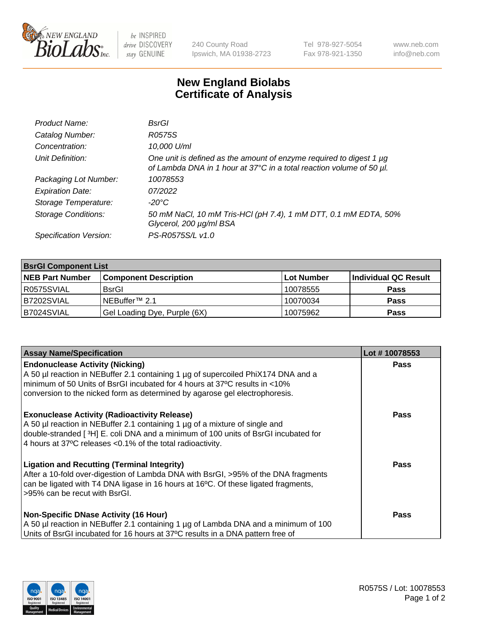

 $be$  INSPIRED drive DISCOVERY stay GENUINE

240 County Road Ipswich, MA 01938-2723 Tel 978-927-5054 Fax 978-921-1350 www.neb.com info@neb.com

## **New England Biolabs Certificate of Analysis**

| Product Name:              | BsrGl                                                                                                                                       |
|----------------------------|---------------------------------------------------------------------------------------------------------------------------------------------|
| Catalog Number:            | R0575S                                                                                                                                      |
| Concentration:             | 10,000 U/ml                                                                                                                                 |
| Unit Definition:           | One unit is defined as the amount of enzyme required to digest 1 µg<br>of Lambda DNA in 1 hour at 37°C in a total reaction volume of 50 µl. |
| Packaging Lot Number:      | 10078553                                                                                                                                    |
| <b>Expiration Date:</b>    | 07/2022                                                                                                                                     |
| Storage Temperature:       | -20°C                                                                                                                                       |
| <b>Storage Conditions:</b> | 50 mM NaCl, 10 mM Tris-HCl (pH 7.4), 1 mM DTT, 0.1 mM EDTA, 50%<br>Glycerol, 200 µg/ml BSA                                                  |
| Specification Version:     | PS-R0575S/L v1.0                                                                                                                            |

| <b>BsrGI Component List</b> |                              |            |                      |  |  |
|-----------------------------|------------------------------|------------|----------------------|--|--|
| <b>NEB Part Number</b>      | <b>Component Description</b> | Lot Number | Individual QC Result |  |  |
| I R0575SVIAL                | <b>BsrGI</b>                 | 10078555   | <b>Pass</b>          |  |  |
| B7202SVIAL                  | INEBuffer™ 2.1               | 10070034   | <b>Pass</b>          |  |  |
| B7024SVIAL                  | Gel Loading Dye, Purple (6X) | 10075962   | <b>Pass</b>          |  |  |

| <b>Assay Name/Specification</b>                                                                                                                                                                                                                                                         | Lot #10078553 |
|-----------------------------------------------------------------------------------------------------------------------------------------------------------------------------------------------------------------------------------------------------------------------------------------|---------------|
| <b>Endonuclease Activity (Nicking)</b><br>A 50 µl reaction in NEBuffer 2.1 containing 1 µg of supercoiled PhiX174 DNA and a                                                                                                                                                             | <b>Pass</b>   |
| minimum of 50 Units of BsrGI incubated for 4 hours at 37°C results in <10%<br>conversion to the nicked form as determined by agarose gel electrophoresis.                                                                                                                               |               |
| <b>Exonuclease Activity (Radioactivity Release)</b><br>A 50 µl reaction in NEBuffer 2.1 containing 1 µg of a mixture of single and<br>double-stranded [3H] E. coli DNA and a minimum of 100 units of BsrGI incubated for<br>4 hours at 37°C releases < 0.1% of the total radioactivity. | Pass          |
| <b>Ligation and Recutting (Terminal Integrity)</b><br>After a 10-fold over-digestion of Lambda DNA with BsrGI, >95% of the DNA fragments<br>can be ligated with T4 DNA ligase in 16 hours at 16 $\degree$ C. Of these ligated fragments,<br>l >95% can be recut with BsrGI.             | Pass          |
| <b>Non-Specific DNase Activity (16 Hour)</b><br>A 50 µl reaction in NEBuffer 2.1 containing 1 µg of Lambda DNA and a minimum of 100<br>Units of BsrGI incubated for 16 hours at 37°C results in a DNA pattern free of                                                                   | <b>Pass</b>   |